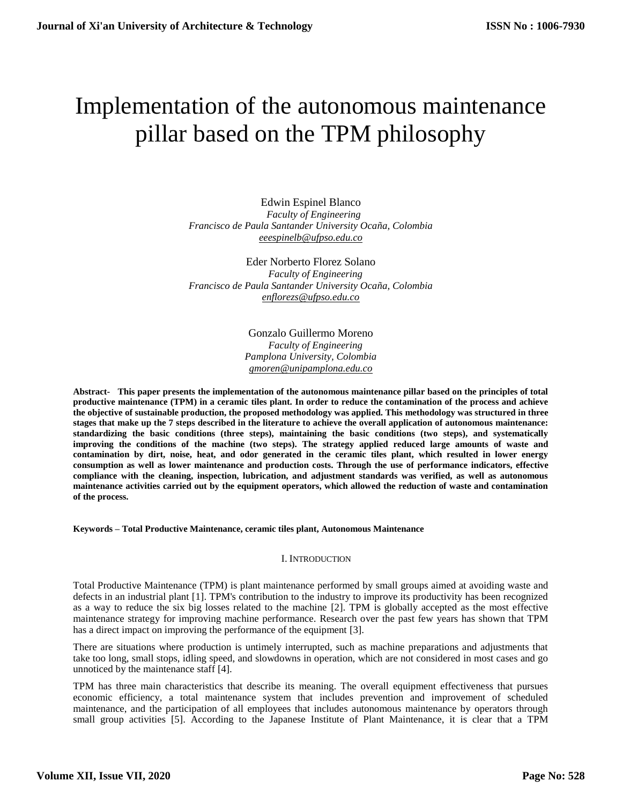# Implementation of the autonomous maintenance pillar based on the TPM philosophy

Edwin Espinel Blanco  *Faculty of Engineering Francisco de Paula Santander University Ocaña, Colombia [eeespinelb@ufpso.edu.co](mailto:eeespinelb@ufpso.edu.co)* 

Eder Norberto Florez Solano  *Faculty of Engineering Francisco de Paula Santander University Ocaña, Colombia [enflorezs@ufpso.edu.co](mailto:enflorezs@ufpso.edu.co)* 

> Gonzalo Guillermo Moreno  *Faculty of Engineering Pamplona University, Colombia [gmoren@unipamplona.edu.co](mailto:gmoren@unipamplona.edu.co)*

**Abstract- This paper presents the implementation of the autonomous maintenance pillar based on the principles of total productive maintenance (TPM) in a ceramic tiles plant. In order to reduce the contamination of the process and achieve the objective of sustainable production, the proposed methodology was applied. This methodology was structured in three stages that make up the 7 steps described in the literature to achieve the overall application of autonomous maintenance: standardizing the basic conditions (three steps), maintaining the basic conditions (two steps), and systematically improving the conditions of the machine (two steps). The strategy applied reduced large amounts of waste and contamination by dirt, noise, heat, and odor generated in the ceramic tiles plant, which resulted in lower energy consumption as well as lower maintenance and production costs. Through the use of performance indicators, effective compliance with the cleaning, inspection, lubrication, and adjustment standards was verified, as well as autonomous maintenance activities carried out by the equipment operators, which allowed the reduction of waste and contamination of the process.**

## **Keywords – Total Productive Maintenance, ceramic tiles plant, Autonomous Maintenance**

#### I. INTRODUCTION

Total Productive Maintenance (TPM) is plant maintenance performed by small groups aimed at avoiding waste and defects in an industrial plant [1]. TPM's contribution to the industry to improve its productivity has been recognized as a way to reduce the six big losses related to the machine [2]. TPM is globally accepted as the most effective maintenance strategy for improving machine performance. Research over the past few years has shown that TPM has a direct impact on improving the performance of the equipment [3].

There are situations where production is untimely interrupted, such as machine preparations and adjustments that take too long, small stops, idling speed, and slowdowns in operation, which are not considered in most cases and go unnoticed by the maintenance staff [4].

TPM has three main characteristics that describe its meaning. The overall equipment effectiveness that pursues economic efficiency, a total maintenance system that includes prevention and improvement of scheduled maintenance, and the participation of all employees that includes autonomous maintenance by operators through small group activities [5]. According to the Japanese Institute of Plant Maintenance, it is clear that a TPM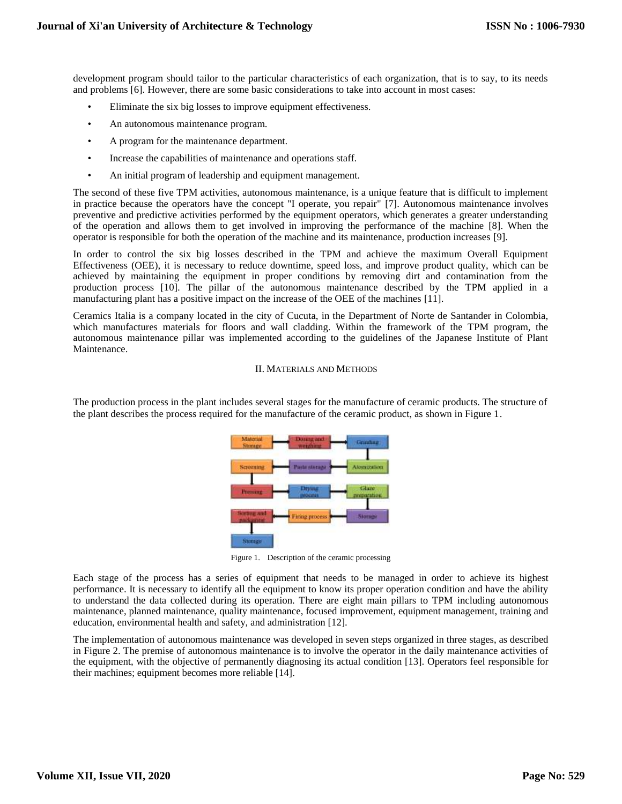development program should tailor to the particular characteristics of each organization, that is to say, to its needs and problems [6]. However, there are some basic considerations to take into account in most cases:

- Eliminate the six big losses to improve equipment effectiveness.
- An autonomous maintenance program.
- A program for the maintenance department.
- Increase the capabilities of maintenance and operations staff.
- An initial program of leadership and equipment management.

The second of these five TPM activities, autonomous maintenance, is a unique feature that is difficult to implement in practice because the operators have the concept "I operate, you repair" [7]. Autonomous maintenance involves preventive and predictive activities performed by the equipment operators, which generates a greater understanding of the operation and allows them to get involved in improving the performance of the machine [8]. When the operator is responsible for both the operation of the machine and its maintenance, production increases [9].

In order to control the six big losses described in the TPM and achieve the maximum Overall Equipment Effectiveness (OEE), it is necessary to reduce downtime, speed loss, and improve product quality, which can be achieved by maintaining the equipment in proper conditions by removing dirt and contamination from the production process [10]. The pillar of the autonomous maintenance described by the TPM applied in a manufacturing plant has a positive impact on the increase of the OEE of the machines [11].

Ceramics Italia is a company located in the city of Cucuta, in the Department of Norte de Santander in Colombia, which manufactures materials for floors and wall cladding. Within the framework of the TPM program, the autonomous maintenance pillar was implemented according to the guidelines of the Japanese Institute of Plant Maintenance.

## II. MATERIALS AND METHODS

The production process in the plant includes several stages for the manufacture of ceramic products. The structure of the plant describes the process required for the manufacture of the ceramic product, as shown in Figure 1.



Figure 1. Description of the ceramic processing

Each stage of the process has a series of equipment that needs to be managed in order to achieve its highest performance. It is necessary to identify all the equipment to know its proper operation condition and have the ability to understand the data collected during its operation. There are eight main pillars to TPM including autonomous maintenance, planned maintenance, quality maintenance, focused improvement, equipment management, training and education, environmental health and safety, and administration [12].

The implementation of autonomous maintenance was developed in seven steps organized in three stages, as described in Figure 2. The premise of autonomous maintenance is to involve the operator in the daily maintenance activities of the equipment, with the objective of permanently diagnosing its actual condition [13]. Operators feel responsible for their machines; equipment becomes more reliable [14].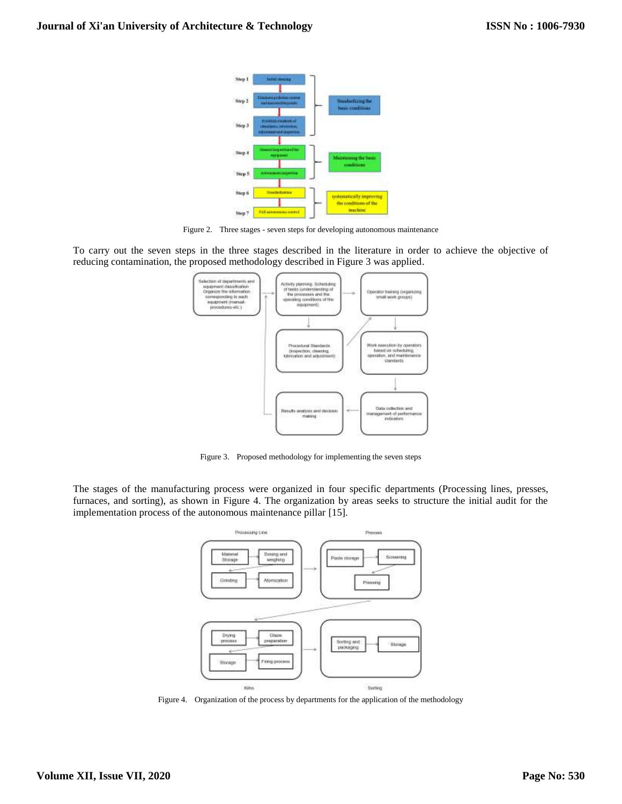

Figure 2. Three stages - seven steps for developing autonomous maintenance

To carry out the seven steps in the three stages described in the literature in order to achieve the objective of reducing contamination, the proposed methodology described in Figure 3 was applied.



Figure 3. Proposed methodology for implementing the seven steps

The stages of the manufacturing process were organized in four specific departments (Processing lines, presses, furnaces, and sorting), as shown in Figure 4. The organization by areas seeks to structure the initial audit for the implementation process of the autonomous maintenance pillar [15].



Figure 4. Organization of the process by departments for the application of the methodology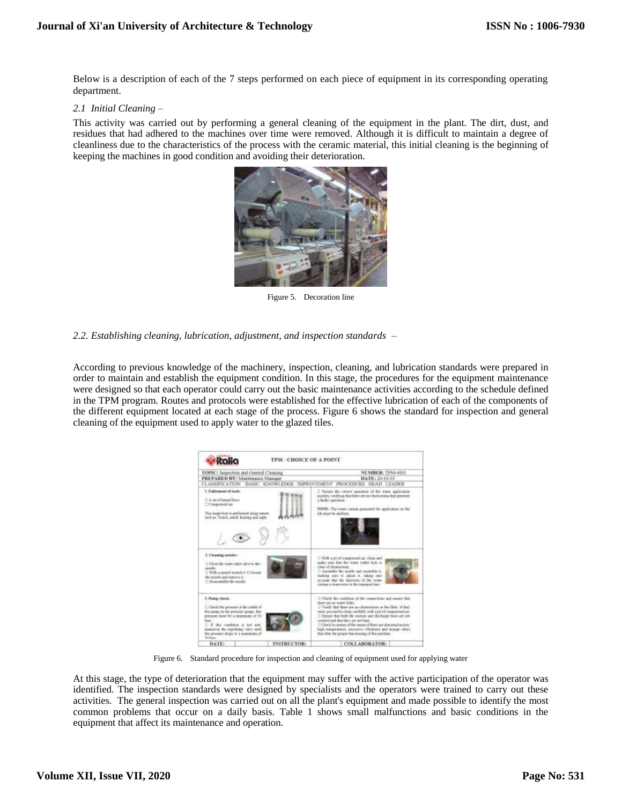Below is a description of each of the 7 steps performed on each piece of equipment in its corresponding operating department.

#### *2.1 Initial Cleaning –*

This activity was carried out by performing a general cleaning of the equipment in the plant. The dirt, dust, and residues that had adhered to the machines over time were removed. Although it is difficult to maintain a degree of cleanliness due to the characteristics of the process with the ceramic material, this initial cleaning is the beginning of keeping the machines in good condition and avoiding their deterioration.



Figure 5. Decoration line

## *2.2. Establishing cleaning, lubrication, adjustment, and inspection standards –*

According to previous knowledge of the machinery, inspection, cleaning, and lubrication standards were prepared in order to maintain and establish the equipment condition. In this stage, the procedures for the equipment maintenance were designed so that each operator could carry out the basic maintenance activities according to the schedule defined in the TPM program. Routes and protocols were established for the effective lubrication of each of the components of the different equipment located at each stage of the process. Figure 6 shows the standard for inspection and general cleaning of the equipment used to apply water to the glazed tiles.



Figure 6. Standard procedure for inspection and cleaning of equipment used for applying water

At this stage, the type of deterioration that the equipment may suffer with the active participation of the operator was identified. The inspection standards were designed by specialists and the operators were trained to carry out these activities. The general inspection was carried out on all the plant's equipment and made possible to identify the most common problems that occur on a daily basis. Table 1 shows small malfunctions and basic conditions in the equipment that affect its maintenance and operation.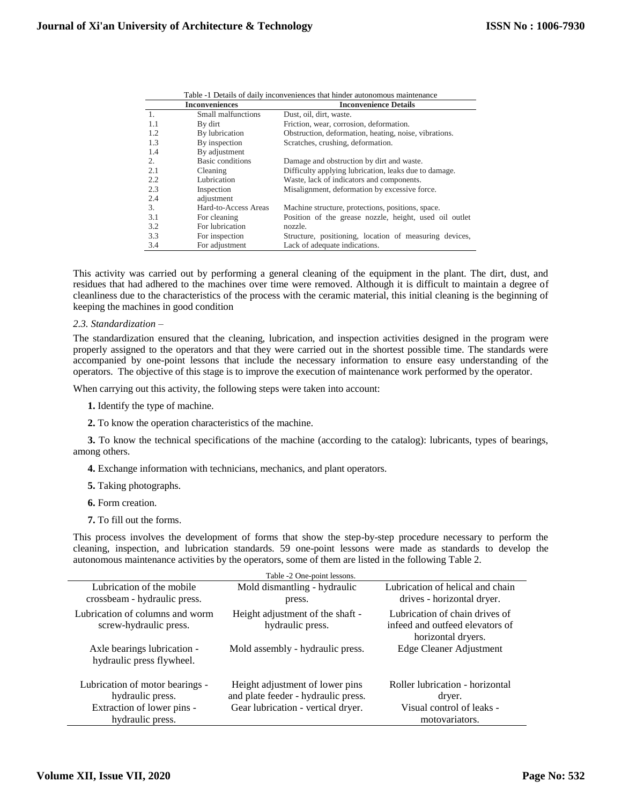| Table -1 Details of daily inconveniences that hinder autonomous maintenance |                         |                                                        |  |  |
|-----------------------------------------------------------------------------|-------------------------|--------------------------------------------------------|--|--|
| <b>Inconveniences</b>                                                       |                         | <b>Inconvenience Details</b>                           |  |  |
| 1.                                                                          | Small malfunctions      | Dust, oil, dirt, waste.                                |  |  |
| 1.1                                                                         | By dirt                 | Friction, wear, corrosion, deformation.                |  |  |
| 1.2                                                                         | By lubrication          | Obstruction, deformation, heating, noise, vibrations.  |  |  |
| 1.3                                                                         | By inspection           | Scratches, crushing, deformation.                      |  |  |
| 1.4                                                                         | By adjustment           |                                                        |  |  |
| 2.                                                                          | <b>Basic conditions</b> | Damage and obstruction by dirt and waste.              |  |  |
| 2.1                                                                         | Cleaning                | Difficulty applying lubrication, leaks due to damage.  |  |  |
| 2.2                                                                         | Lubrication             | Waste, lack of indicators and components.              |  |  |
| 2.3                                                                         | Inspection              | Misalignment, deformation by excessive force.          |  |  |
| 2.4                                                                         | adjustment              |                                                        |  |  |
| 3.                                                                          | Hard-to-Access Areas    | Machine structure, protections, positions, space.      |  |  |
| 3.1                                                                         | For cleaning            | Position of the grease nozzle, height, used oil outlet |  |  |
| 3.2                                                                         | For lubrication         | nozzle.                                                |  |  |
| 3.3                                                                         | For inspection          | Structure, positioning, location of measuring devices, |  |  |
| 3.4                                                                         | For adjustment          | Lack of adequate indications.                          |  |  |

This activity was carried out by performing a general cleaning of the equipment in the plant. The dirt, dust, and residues that had adhered to the machines over time were removed. Although it is difficult to maintain a degree of cleanliness due to the characteristics of the process with the ceramic material, this initial cleaning is the beginning of keeping the machines in good condition

#### *2.3. Standardization –*

The standardization ensured that the cleaning, lubrication, and inspection activities designed in the program were properly assigned to the operators and that they were carried out in the shortest possible time. The standards were accompanied by one-point lessons that include the necessary information to ensure easy understanding of the operators. The objective of this stage is to improve the execution of maintenance work performed by the operator.

When carrying out this activity, the following steps were taken into account:

- **1.** Identify the type of machine.
- **2.** To know the operation characteristics of the machine.

**3.** To know the technical specifications of the machine (according to the catalog): lubricants, types of bearings, among others.

- **4.** Exchange information with technicians, mechanics, and plant operators.
- **5.** Taking photographs.
- **6.** Form creation.
- **7.** To fill out the forms.

This process involves the development of forms that show the step-by-step procedure necessary to perform the cleaning, inspection, and lubrication standards. 59 one-point lessons were made as standards to develop the autonomous maintenance activities by the operators, some of them are listed in the following Table 2.

|                                                           | Table -2 One-point lessons.                                            |                                                                                         |
|-----------------------------------------------------------|------------------------------------------------------------------------|-----------------------------------------------------------------------------------------|
| Lubrication of the mobile<br>crossbeam - hydraulic press. | Mold dismantling - hydraulic<br>press.                                 | Lubrication of helical and chain<br>drives - horizontal dryer.                          |
| Lubrication of columns and worm<br>screw-hydraulic press. | Height adjustment of the shaft -<br>hydraulic press.                   | Lubrication of chain drives of<br>infeed and outfeed elevators of<br>horizontal dryers. |
| Axle bearings lubrication -<br>hydraulic press flywheel.  | Mold assembly - hydraulic press.                                       | Edge Cleaner Adjustment                                                                 |
| Lubrication of motor bearings -<br>hydraulic press.       | Height adjustment of lower pins<br>and plate feeder - hydraulic press. | Roller lubrication - horizontal<br>dryer.                                               |
| Extraction of lower pins -                                | Gear lubrication - vertical dryer.                                     | Visual control of leaks -                                                               |
| hydraulic press.                                          |                                                                        | motovariators.                                                                          |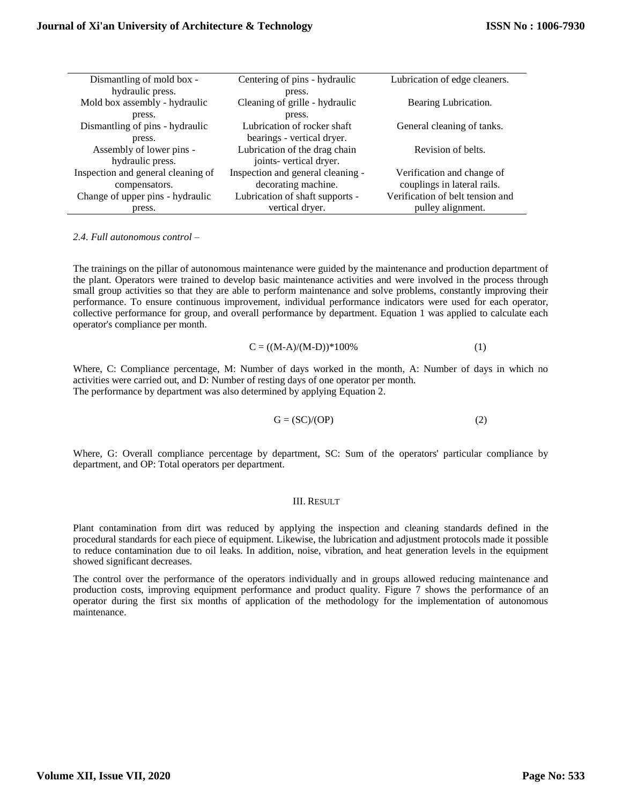| Dismantling of mold box -          | Centering of pins - hydraulic     | Lubrication of edge cleaners.    |
|------------------------------------|-----------------------------------|----------------------------------|
| hydraulic press.                   | press.                            |                                  |
| Mold box assembly - hydraulic      | Cleaning of grille - hydraulic    | Bearing Lubrication.             |
| press.                             | press.                            |                                  |
| Dismantling of pins - hydraulic    | Lubrication of rocker shaft       | General cleaning of tanks.       |
| press.                             | bearings - vertical dryer.        |                                  |
| Assembly of lower pins -           | Lubrication of the drag chain     | Revision of belts.               |
| hydraulic press.                   | joints- vertical dryer.           |                                  |
| Inspection and general cleaning of | Inspection and general cleaning - | Verification and change of       |
| compensators.                      | decorating machine.               | couplings in lateral rails.      |
| Change of upper pins - hydraulic   | Lubrication of shaft supports -   | Verification of belt tension and |
| press.                             | vertical dryer.                   | pulley alignment.                |

*2.4. Full autonomous control –*

The trainings on the pillar of autonomous maintenance were guided by the maintenance and production department of the plant. Operators were trained to develop basic maintenance activities and were involved in the process through small group activities so that they are able to perform maintenance and solve problems, constantly improving their performance. To ensure continuous improvement, individual performance indicators were used for each operator, collective performance for group, and overall performance by department. Equation 1 was applied to calculate each operator's compliance per month.

$$
C = ((M-A)/(M-D)) * 100\%
$$
 (1)

Where, C: Compliance percentage, M: Number of days worked in the month, A: Number of days in which no activities were carried out, and D: Number of resting days of one operator per month. The performance by department was also determined by applying Equation 2.

$$
G = (SC)/(OP)
$$
 (2)

Where, G: Overall compliance percentage by department, SC: Sum of the operators' particular compliance by department, and OP: Total operators per department.

## III. RESULT

Plant contamination from dirt was reduced by applying the inspection and cleaning standards defined in the procedural standards for each piece of equipment. Likewise, the lubrication and adjustment protocols made it possible to reduce contamination due to oil leaks. In addition, noise, vibration, and heat generation levels in the equipment showed significant decreases.

The control over the performance of the operators individually and in groups allowed reducing maintenance and production costs, improving equipment performance and product quality. Figure 7 shows the performance of an operator during the first six months of application of the methodology for the implementation of autonomous maintenance.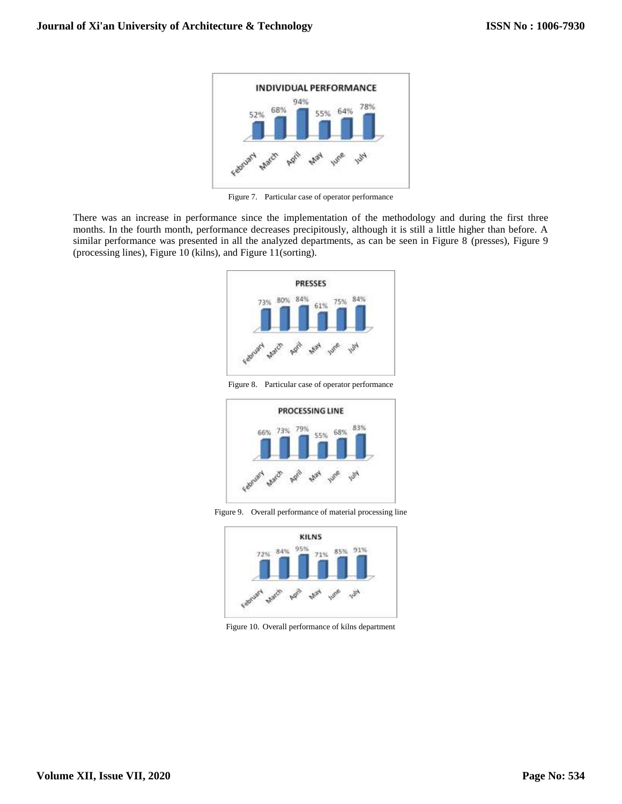

Figure 7. Particular case of operator performance

There was an increase in performance since the implementation of the methodology and during the first three months. In the fourth month, performance decreases precipitously, although it is still a little higher than before. A similar performance was presented in all the analyzed departments, as can be seen in Figure 8 (presses), Figure 9 (processing lines), Figure 10 (kilns), and Figure 11(sorting).



Figure 8. Particular case of operator performance



Figure 9. Overall performance of material processing line



Figure 10. Overall performance of kilns department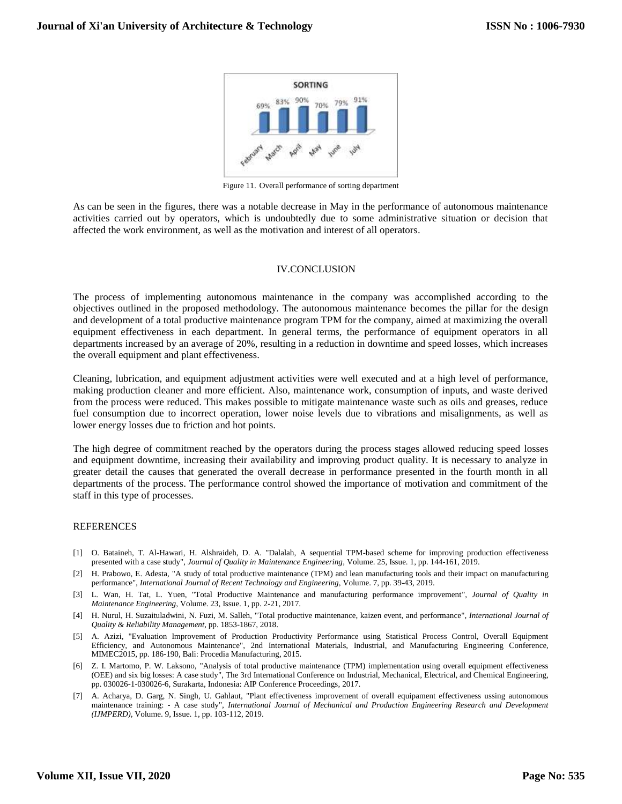

Figure 11. Overall performance of sorting department

As can be seen in the figures, there was a notable decrease in May in the performance of autonomous maintenance activities carried out by operators, which is undoubtedly due to some administrative situation or decision that affected the work environment, as well as the motivation and interest of all operators.

## IV.CONCLUSION

The process of implementing autonomous maintenance in the company was accomplished according to the objectives outlined in the proposed methodology. The autonomous maintenance becomes the pillar for the design and development of a total productive maintenance program TPM for the company, aimed at maximizing the overall equipment effectiveness in each department. In general terms, the performance of equipment operators in all departments increased by an average of 20%, resulting in a reduction in downtime and speed losses, which increases the overall equipment and plant effectiveness.

Cleaning, lubrication, and equipment adjustment activities were well executed and at a high level of performance, making production cleaner and more efficient. Also, maintenance work, consumption of inputs, and waste derived from the process were reduced. This makes possible to mitigate maintenance waste such as oils and greases, reduce fuel consumption due to incorrect operation, lower noise levels due to vibrations and misalignments, as well as lower energy losses due to friction and hot points.

The high degree of commitment reached by the operators during the process stages allowed reducing speed losses and equipment downtime, increasing their availability and improving product quality. It is necessary to analyze in greater detail the causes that generated the overall decrease in performance presented in the fourth month in all departments of the process. The performance control showed the importance of motivation and commitment of the staff in this type of processes.

## **REFERENCES**

- [1] O. Bataineh, T. Al-Hawari, H. Alshraideh, D. A. "Dalalah, A sequential TPM-based scheme for improving production effectiveness presented with a case study", *Journal of Quality in Maintenance Engineering*, Volume. 25, Issue. 1, pp. 144-161, 2019.
- [2] H. Prabowo, E. Adesta, "A study of total productive maintenance (TPM) and lean manufacturing tools and their impact on manufacturing performance", *International Journal of Recent Technology and Engineering*, Volume. 7, pp. 39-43, 2019.
- [3] L. Wan, H. Tat, L. Yuen, "Total Productive Maintenance and manufacturing performance improvement", *Journal of Quality in Maintenance Engineering*, Volume. 23, Issue. 1, pp. 2-21, 2017.
- [4] H. Nurul, H. Suzaituladwini, N. Fuzi, M. Salleh, "Total productive maintenance, kaizen event, and performance", *International Journal of Quality & Reliability Management*, pp. 1853-1867, 2018.
- [5] A. Azizi, "Evaluation Improvement of Production Productivity Performance using Statistical Process Control, Overall Equipment Efficiency, and Autonomous Maintenance", 2nd International Materials, Industrial, and Manufacturing Engineering Conference, MIMEC2015, pp. 186-190, Bali: Procedia Manufacturing, 2015.
- [6] Z. I. Martomo, P. W. Laksono, "Analysis of total productive maintenance (TPM) implementation using overall equipment effectiveness (OEE) and six big losses: A case study", The 3rd International Conference on Industrial, Mechanical, Electrical, and Chemical Engineering, pp. 030026-1-030026-6, Surakarta, Indonesia: AIP Conference Proceedings, 2017.
- [7] A. Acharya, D. Garg, N. Singh, U. Gahlaut, "Plant effectiveness improvement of overall equipament effectiveness ussing autonomous maintenance training: - A case study", *International Journal of Mechanical and Production Engineering Research and Development (IJMPERD),* Volume. 9, Issue. 1, pp. 103-112, 2019.